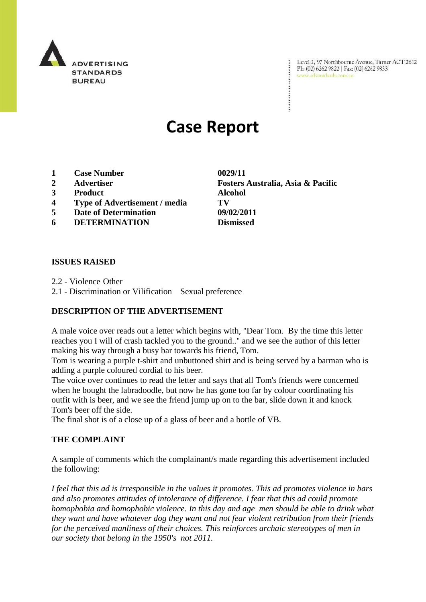

Level 2, 97 Northbourne Avenue, Turner ACT 2612 Ph: (02) 6262 9822 | Fax: (02) 6262 9833 www.adstandards.com.au

# **Case Report**

- **1 Case Number 0029/11**
- 
- **3 Product Alcohol**
- **4 Type of Advertisement / media TV**
- **5 Date of Determination 09/02/2011**
- **6 DETERMINATION Dismissed**

**2 Advertiser Fosters Australia, Asia & Pacific**

### **ISSUES RAISED**

2.2 - Violence Other

2.1 - Discrimination or Vilification Sexual preference

### **DESCRIPTION OF THE ADVERTISEMENT**

A male voice over reads out a letter which begins with, "Dear Tom. By the time this letter reaches you I will of crash tackled you to the ground.." and we see the author of this letter making his way through a busy bar towards his friend, Tom.

Tom is wearing a purple t-shirt and unbuttoned shirt and is being served by a barman who is adding a purple coloured cordial to his beer.

The voice over continues to read the letter and says that all Tom's friends were concerned when he bought the labradoodle, but now he has gone too far by colour coordinating his outfit with is beer, and we see the friend jump up on to the bar, slide down it and knock Tom's beer off the side.

The final shot is of a close up of a glass of beer and a bottle of VB.

### **THE COMPLAINT**

A sample of comments which the complainant/s made regarding this advertisement included the following:

*I feel that this ad is irresponsible in the values it promotes. This ad promotes violence in bars and also promotes attitudes of intolerance of difference. I fear that this ad could promote homophobia and homophobic violence. In this day and age men should be able to drink what they want and have whatever dog they want and not fear violent retribution from their friends for the perceived manliness of their choices. This reinforces archaic stereotypes of men in our society that belong in the 1950's not 2011.*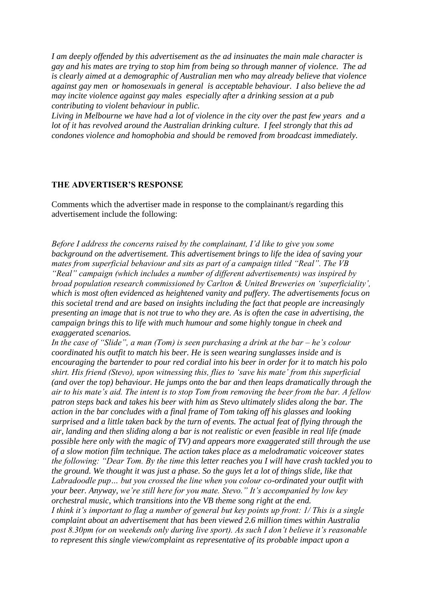*I am deeply offended by this advertisement as the ad insinuates the main male character is gay and his mates are trying to stop him from being so through manner of violence. The ad is clearly aimed at a demographic of Australian men who may already believe that violence against gay men or homosexuals in general is acceptable behaviour. I also believe the ad may incite violence against gay males especially after a drinking session at a pub contributing to violent behaviour in public.*

*Living in Melbourne we have had a lot of violence in the city over the past few years and a lot of it has revolved around the Australian drinking culture. I feel strongly that this ad condones violence and homophobia and should be removed from broadcast immediately.*

#### **THE ADVERTISER'S RESPONSE**

Comments which the advertiser made in response to the complainant/s regarding this advertisement include the following:

*Before I address the concerns raised by the complainant, I"d like to give you some background on the advertisement. This advertisement brings to life the idea of saving your mates from superficial behaviour and sits as part of a campaign titled "Real". The VB "Real" campaign (which includes a number of different advertisements) was inspired by broad population research commissioned by Carlton & United Breweries on "superficiality", which is most often evidenced as heightened vanity and puffery. The advertisements focus on this societal trend and are based on insights including the fact that people are increasingly presenting an image that is not true to who they are. As is often the case in advertising, the campaign brings this to life with much humour and some highly tongue in cheek and exaggerated scenarios.* 

*In the case of "Slide", a man (Tom) is seen purchasing a drink at the bar – he"s colour coordinated his outfit to match his beer. He is seen wearing sunglasses inside and is encouraging the bartender to pour red cordial into his beer in order for it to match his polo shirt. His friend (Stevo), upon witnessing this, flies to "save his mate" from this superficial (and over the top) behaviour. He jumps onto the bar and then leaps dramatically through the air to his mate"s aid. The intent is to stop Tom from removing the beer from the bar. A fellow patron steps back and takes his beer with him as Stevo ultimately slides along the bar. The action in the bar concludes with a final frame of Tom taking off his glasses and looking surprised and a little taken back by the turn of events. The actual feat of flying through the air, landing and then sliding along a bar is not realistic or even feasible in real life (made possible here only with the magic of TV) and appears more exaggerated still through the use of a slow motion film technique. The action takes place as a melodramatic voiceover states the following: "Dear Tom. By the time this letter reaches you I will have crash tackled you to the ground. We thought it was just a phase. So the guys let a lot of things slide, like that Labradoodle pup… but you crossed the line when you colour co-ordinated your outfit with your beer. Anyway, we"re still here for you mate. Stevo." It"s accompanied by low key orchestral music, which transitions into the VB theme song right at the end. I think it's important to flag a number of general but key points up front: 1/ This is a single complaint about an advertisement that has been viewed 2.6 million times within Australia post 8.30pm (or on weekends only during live sport). As such I don"t believe it"s reasonable to represent this single view/complaint as representative of its probable impact upon a*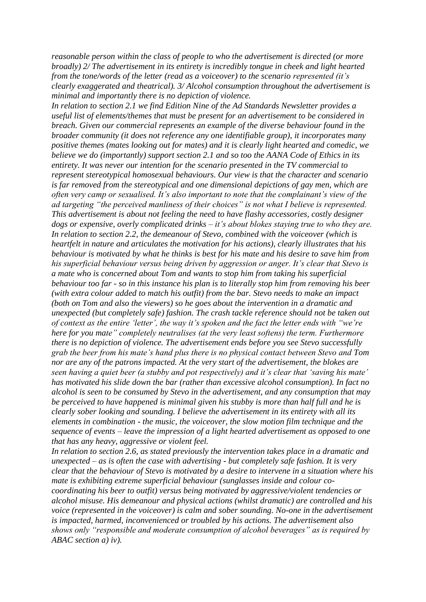*reasonable person within the class of people to who the advertisement is directed (or more broadly) 2/ The advertisement in its entirety is incredibly tongue in cheek and light hearted from the tone/words of the letter (read as a voiceover) to the scenario represented (it's clearly exaggerated and theatrical). 3/ Alcohol consumption throughout the advertisement is minimal and importantly there is no depiction of violence.* 

*In relation to section 2.1 we find Edition Nine of the Ad Standards Newsletter provides a useful list of elements/themes that must be present for an advertisement to be considered in breach. Given our commercial represents an example of the diverse behaviour found in the broader community (it does not reference any one identifiable group), it incorporates many positive themes (mates looking out for mates) and it is clearly light hearted and comedic, we believe we do (importantly) support section 2.1 and so too the AANA Code of Ethics in its entirety. It was never our intention for the scenario presented in the TV commercial to represent stereotypical homosexual behaviours. Our view is that the character and scenario is far removed from the stereotypical and one dimensional depictions of gay men, which are often very camp or sexualised. It"s also important to note that the complainant"s view of the ad targeting "the perceived manliness of their choices" is not what I believe is represented. This advertisement is about not feeling the need to have flashy accessories, costly designer dogs or expensive, overly complicated drinks – it"s about blokes staying true to who they are. In relation to section 2.2, the demeanour of Stevo, combined with the voiceover (which is heartfelt in nature and articulates the motivation for his actions), clearly illustrates that his behaviour is motivated by what he thinks is best for his mate and his desire to save him from his superficial behaviour versus being driven by aggression or anger. It"s clear that Stevo is a mate who is concerned about Tom and wants to stop him from taking his superficial behaviour too far - so in this instance his plan is to literally stop him from removing his beer (with extra colour added to match his outfit) from the bar. Stevo needs to make an impact (both on Tom and also the viewers) so he goes about the intervention in a dramatic and unexpected (but completely safe) fashion. The crash tackle reference should not be taken out of context as the entire "letter", the way it"s spoken and the fact the letter ends with "we"re here for you mate" completely neutralises (at the very least softens) the term. Furthermore there is no depiction of violence. The advertisement ends before you see Stevo successfully grab the beer from his mate"s hand plus there is no physical contact between Stevo and Tom nor are any of the patrons impacted. At the very start of the advertisement, the blokes are seen having a quiet beer (a stubby and pot respectively) and it"s clear that "saving his mate" has motivated his slide down the bar (rather than excessive alcohol consumption). In fact no alcohol is seen to be consumed by Stevo in the advertisement, and any consumption that may be perceived to have happened is minimal given his stubby is more than half full and he is clearly sober looking and sounding. I believe the advertisement in its entirety with all its elements in combination - the music, the voiceover, the slow motion film technique and the sequence of events – leave the impression of a light hearted advertisement as opposed to one that has any heavy, aggressive or violent feel.* 

*In relation to section 2.6, as stated previously the intervention takes place in a dramatic and unexpected – as is often the case with advertising - but completely safe fashion. It is very clear that the behaviour of Stevo is motivated by a desire to intervene in a situation where his mate is exhibiting extreme superficial behaviour (sunglasses inside and colour cocoordinating his beer to outfit) versus being motivated by aggressive/violent tendencies or alcohol misuse. His demeanour and physical actions (whilst dramatic) are controlled and his voice (represented in the voiceover) is calm and sober sounding. No-one in the advertisement is impacted, harmed, inconvenienced or troubled by his actions. The advertisement also shows only "responsible and moderate consumption of alcohol beverages" as is required by ABAC section a) iv).*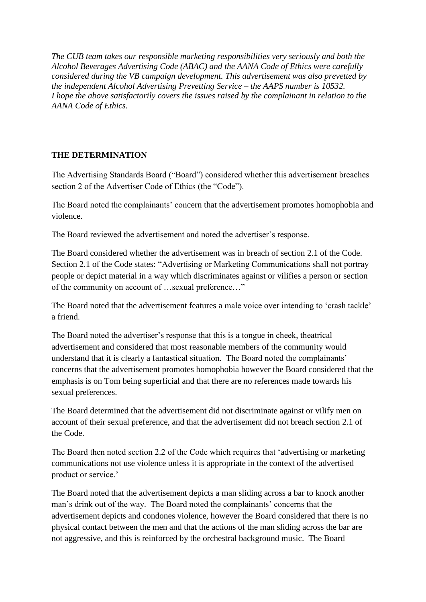*The CUB team takes our responsible marketing responsibilities very seriously and both the Alcohol Beverages Advertising Code (ABAC) and the AANA Code of Ethics were carefully considered during the VB campaign development. This advertisement was also prevetted by the independent Alcohol Advertising Prevetting Service – the AAPS number is 10532. I hope the above satisfactorily covers the issues raised by the complainant in relation to the AANA Code of Ethics.*

## **THE DETERMINATION**

The Advertising Standards Board ("Board") considered whether this advertisement breaches section 2 of the Advertiser Code of Ethics (the "Code").

The Board noted the complainants' concern that the advertisement promotes homophobia and violence.

The Board reviewed the advertisement and noted the advertiser's response.

The Board considered whether the advertisement was in breach of section 2.1 of the Code. Section 2.1 of the Code states: "Advertising or Marketing Communications shall not portray people or depict material in a way which discriminates against or vilifies a person or section of the community on account of …sexual preference…"

The Board noted that the advertisement features a male voice over intending to 'crash tackle' a friend.

The Board noted the advertiser"s response that this is a tongue in cheek, theatrical advertisement and considered that most reasonable members of the community would understand that it is clearly a fantastical situation. The Board noted the complainants' concerns that the advertisement promotes homophobia however the Board considered that the emphasis is on Tom being superficial and that there are no references made towards his sexual preferences.

The Board determined that the advertisement did not discriminate against or vilify men on account of their sexual preference, and that the advertisement did not breach section 2.1 of the Code.

The Board then noted section 2.2 of the Code which requires that "advertising or marketing communications not use violence unless it is appropriate in the context of the advertised product or service."

The Board noted that the advertisement depicts a man sliding across a bar to knock another man"s drink out of the way. The Board noted the complainants" concerns that the advertisement depicts and condones violence, however the Board considered that there is no physical contact between the men and that the actions of the man sliding across the bar are not aggressive, and this is reinforced by the orchestral background music. The Board